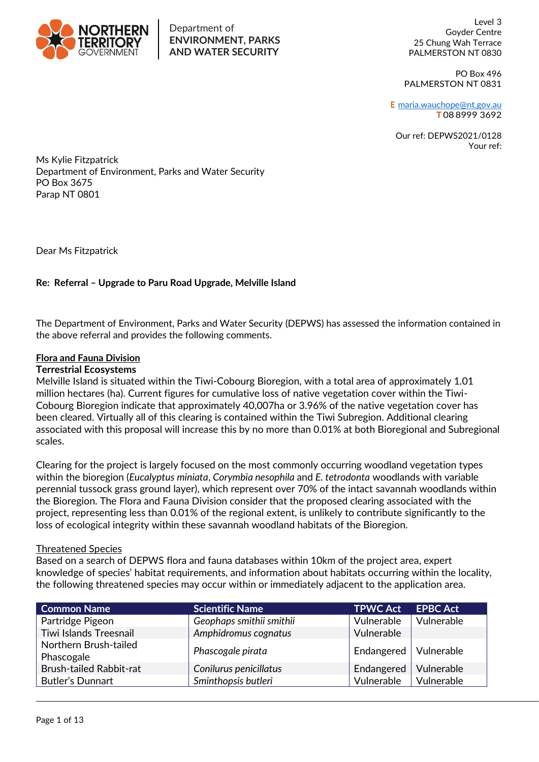

#### Department of **ENVIRONMENT, PARKS AND WATER SECURITY**

Level 3 Goyder Centre 25 Chung Wah Terrace PALMERSTON NT 0830

PO Box 496 PALMERSTON NT 0831

**E** [maria.wauchope@nt.gov.au](mailto:maria.wauchope@nt.gov.au) **T** 08 8999 3692

Our ref: DEPWS2021/0128 Your ref:

Ms Kylie Fitzpatrick Department of Environment, Parks and Water Security PO Box 3675 Parap NT 0801

Dear Ms Fitzpatrick

# **Re: Referral – Upgrade to Paru Road Upgrade, Melville Island**

The Department of Environment, Parks and Water Security (DEPWS) has assessed the information contained in the above referral and provides the following comments.

## **Flora and Fauna Division**

#### **Terrestrial Ecosystems**

Melville Island is situated within the Tiwi-Cobourg Bioregion, with a total area of approximately 1.01 million hectares (ha). Current figures for cumulative loss of native vegetation cover within the Tiwi-Cobourg Bioregion indicate that approximately 40,007ha or 3.96% of the native vegetation cover has been cleared. Virtually all of this clearing is contained within the Tiwi Subregion. Additional clearing associated with this proposal will increase this by no more than 0.01% at both Bioregional and Subregional scales.

Clearing for the project is largely focused on the most commonly occurring woodland vegetation types within the bioregion (*Eucalyptus miniata*, *Corymbia nesophila* and *E. tetrodonta* woodlands with variable perennial tussock grass ground layer), which represent over 70% of the intact savannah woodlands within the Bioregion. The Flora and Fauna Division consider that the proposed clearing associated with the project, representing less than 0.01% of the regional extent, is unlikely to contribute significantly to the loss of ecological integrity within these savannah woodland habitats of the Bioregion.

#### Threatened Species

Based on a search of DEPWS flora and fauna databases within 10km of the project area, expert knowledge of species' habitat requirements, and information about habitats occurring within the locality, the following threatened species may occur within or immediately adjacent to the application area.

| <b>Common Name</b>                  | <b>Scientific Name</b>   | <b>TPWC Act</b>         | <b>EPBC Act</b> |
|-------------------------------------|--------------------------|-------------------------|-----------------|
| Partridge Pigeon                    | Geophaps smithii smithii | Vulnerable              | Vulnerable      |
| <b>Tiwi Islands Treesnail</b>       | Amphidromus cognatus     | Vulnerable              |                 |
| Northern Brush-tailed<br>Phascogale | Phascogale pirata        | Endangered   Vulnerable |                 |
| <b>Brush-tailed Rabbit-rat</b>      | Conilurus penicillatus   | Endangered              | Vulnerable      |
| <b>Butler's Dunnart</b>             | Sminthopsis butleri      | Vulnerable              | Vulnerable      |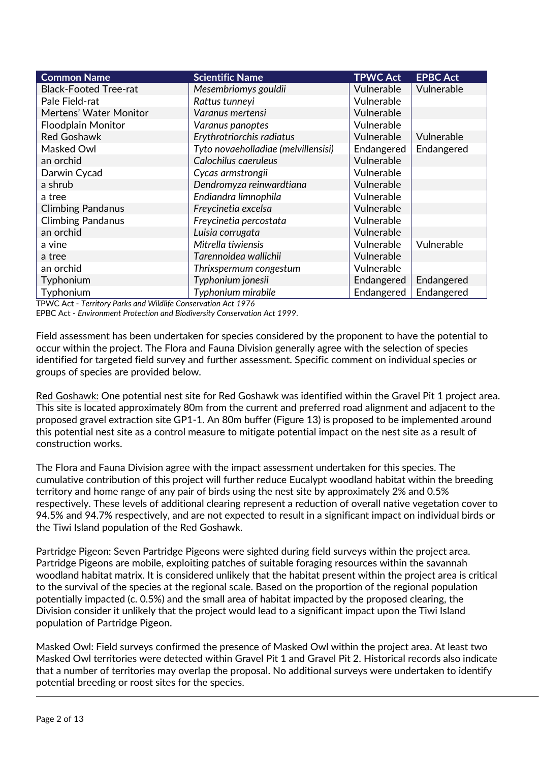| <b>Common Name</b>           | <b>Scientific Name</b>              | <b>TPWC Act</b> | <b>EPBC Act</b> |
|------------------------------|-------------------------------------|-----------------|-----------------|
| <b>Black-Footed Tree-rat</b> | Mesembriomys gouldii                | Vulnerable      | Vulnerable      |
| Pale Field-rat               | Rattus tunneyi                      | Vulnerable      |                 |
| Mertens' Water Monitor       | Varanus mertensi                    | Vulnerable      |                 |
| <b>Floodplain Monitor</b>    | Varanus panoptes                    | Vulnerable      |                 |
| <b>Red Goshawk</b>           | Erythrotriorchis radiatus           | Vulnerable      | Vulnerable      |
| Masked Owl                   | Tyto novaeholladiae (melvillensisi) | Endangered      | Endangered      |
| an orchid                    | Calochilus caeruleus                | Vulnerable      |                 |
| Darwin Cycad                 | Cycas armstrongii                   | Vulnerable      |                 |
| a shrub                      | Dendromyza reinwardtiana            | Vulnerable      |                 |
| a tree                       | Endiandra limnophila                | Vulnerable      |                 |
| <b>Climbing Pandanus</b>     | Freycinetia excelsa                 | Vulnerable      |                 |
| <b>Climbing Pandanus</b>     | Freycinetia percostata              | Vulnerable      |                 |
| an orchid                    | Luisia corrugata                    | Vulnerable      |                 |
| a vine                       | Mitrella tiwiensis                  | Vulnerable      | Vulnerable      |
| a tree                       | Tarennoidea wallichii               | Vulnerable      |                 |
| an orchid                    | Thrixspermum congestum              | Vulnerable      |                 |
| Typhonium                    | Typhonium jonesii                   | Endangered      | Endangered      |
| Typhonium                    | Typhonium mirabile                  | Endangered      | Endangered      |

TPWC Act - *Territory Parks and Wildlife Conservation Act 1976*

EPBC Act - *Environment Protection and Biodiversity Conservation Act 1999*.

Field assessment has been undertaken for species considered by the proponent to have the potential to occur within the project. The Flora and Fauna Division generally agree with the selection of species identified for targeted field survey and further assessment. Specific comment on individual species or groups of species are provided below.

Red Goshawk: One potential nest site for Red Goshawk was identified within the Gravel Pit 1 project area. This site is located approximately 80m from the current and preferred road alignment and adjacent to the proposed gravel extraction site GP1-1. An 80m buffer (Figure 13) is proposed to be implemented around this potential nest site as a control measure to mitigate potential impact on the nest site as a result of construction works.

The Flora and Fauna Division agree with the impact assessment undertaken for this species. The cumulative contribution of this project will further reduce Eucalypt woodland habitat within the breeding territory and home range of any pair of birds using the nest site by approximately 2% and 0.5% respectively. These levels of additional clearing represent a reduction of overall native vegetation cover to 94.5% and 94.7% respectively, and are not expected to result in a significant impact on individual birds or the Tiwi Island population of the Red Goshawk.

Partridge Pigeon: Seven Partridge Pigeons were sighted during field surveys within the project area. Partridge Pigeons are mobile, exploiting patches of suitable foraging resources within the savannah woodland habitat matrix. It is considered unlikely that the habitat present within the project area is critical to the survival of the species at the regional scale. Based on the proportion of the regional population potentially impacted (c. 0.5%) and the small area of habitat impacted by the proposed clearing, the Division consider it unlikely that the project would lead to a significant impact upon the Tiwi Island population of Partridge Pigeon.

Masked Owl: Field surveys confirmed the presence of Masked Owl within the project area. At least two Masked Owl territories were detected within Gravel Pit 1 and Gravel Pit 2. Historical records also indicate that a number of territories may overlap the proposal. No additional surveys were undertaken to identify potential breeding or roost sites for the species.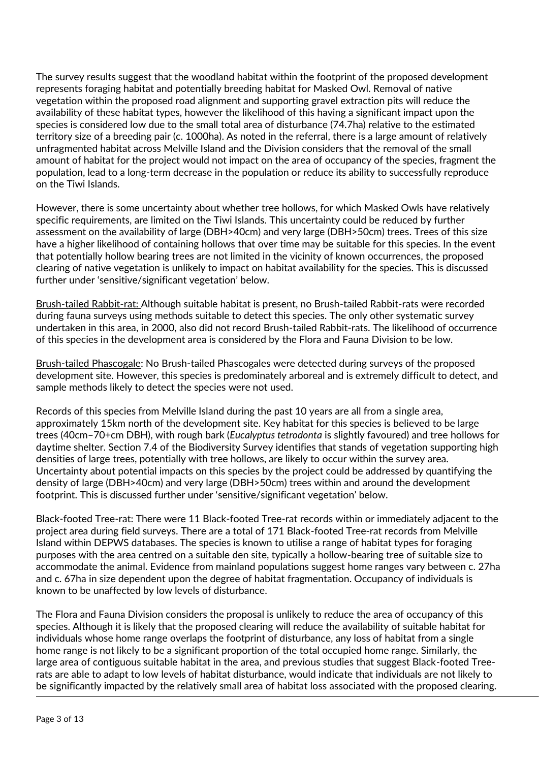The survey results suggest that the woodland habitat within the footprint of the proposed development represents foraging habitat and potentially breeding habitat for Masked Owl. Removal of native vegetation within the proposed road alignment and supporting gravel extraction pits will reduce the availability of these habitat types, however the likelihood of this having a significant impact upon the species is considered low due to the small total area of disturbance (74.7ha) relative to the estimated territory size of a breeding pair (c. 1000ha). As noted in the referral, there is a large amount of relatively unfragmented habitat across Melville Island and the Division considers that the removal of the small amount of habitat for the project would not impact on the area of occupancy of the species, fragment the population, lead to a long-term decrease in the population or reduce its ability to successfully reproduce on the Tiwi Islands.

However, there is some uncertainty about whether tree hollows, for which Masked Owls have relatively specific requirements, are limited on the Tiwi Islands. This uncertainty could be reduced by further assessment on the availability of large (DBH>40cm) and very large (DBH>50cm) trees. Trees of this size have a higher likelihood of containing hollows that over time may be suitable for this species. In the event that potentially hollow bearing trees are not limited in the vicinity of known occurrences, the proposed clearing of native vegetation is unlikely to impact on habitat availability for the species. This is discussed further under 'sensitive/significant vegetation' below.

Brush-tailed Rabbit-rat: Although suitable habitat is present, no Brush-tailed Rabbit-rats were recorded during fauna surveys using methods suitable to detect this species. The only other systematic survey undertaken in this area, in 2000, also did not record Brush-tailed Rabbit-rats. The likelihood of occurrence of this species in the development area is considered by the Flora and Fauna Division to be low.

Brush-tailed Phascogale: No Brush-tailed Phascogales were detected during surveys of the proposed development site. However, this species is predominately arboreal and is extremely difficult to detect, and sample methods likely to detect the species were not used.

Records of this species from Melville Island during the past 10 years are all from a single area, approximately 15km north of the development site. Key habitat for this species is believed to be large trees (40cm–70+cm DBH), with rough bark (*Eucalyptus tetrodonta* is slightly favoured) and tree hollows for daytime shelter. Section 7.4 of the Biodiversity Survey identifies that stands of vegetation supporting high densities of large trees, potentially with tree hollows, are likely to occur within the survey area. Uncertainty about potential impacts on this species by the project could be addressed by quantifying the density of large (DBH>40cm) and very large (DBH>50cm) trees within and around the development footprint. This is discussed further under 'sensitive/significant vegetation' below.

Black-footed Tree-rat: There were 11 Black-footed Tree-rat records within or immediately adjacent to the project area during field surveys. There are a total of 171 Black-footed Tree-rat records from Melville Island within DEPWS databases. The species is known to utilise a range of habitat types for foraging purposes with the area centred on a suitable den site, typically a hollow-bearing tree of suitable size to accommodate the animal. Evidence from mainland populations suggest home ranges vary between c. 27ha and c. 67ha in size dependent upon the degree of habitat fragmentation. Occupancy of individuals is known to be unaffected by low levels of disturbance.

The Flora and Fauna Division considers the proposal is unlikely to reduce the area of occupancy of this species. Although it is likely that the proposed clearing will reduce the availability of suitable habitat for individuals whose home range overlaps the footprint of disturbance, any loss of habitat from a single home range is not likely to be a significant proportion of the total occupied home range. Similarly, the large area of contiguous suitable habitat in the area, and previous studies that suggest Black-footed Treerats are able to adapt to low levels of habitat disturbance, would indicate that individuals are not likely to be significantly impacted by the relatively small area of habitat loss associated with the proposed clearing.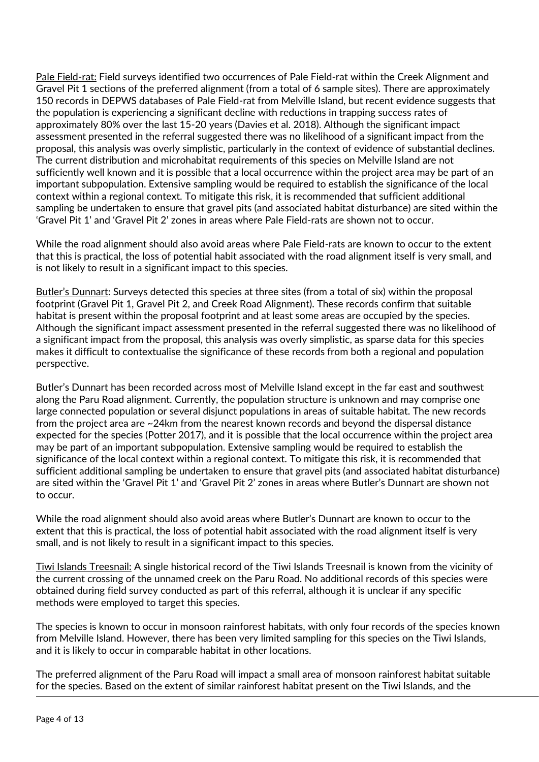Pale Field-rat: Field surveys identified two occurrences of Pale Field-rat within the Creek Alignment and Gravel Pit 1 sections of the preferred alignment (from a total of 6 sample sites). There are approximately 150 records in DEPWS databases of Pale Field-rat from Melville Island, but recent evidence suggests that the population is experiencing a significant decline with reductions in trapping success rates of approximately 80% over the last 15-20 years (Davies et al. 2018). Although the significant impact assessment presented in the referral suggested there was no likelihood of a significant impact from the proposal, this analysis was overly simplistic, particularly in the context of evidence of substantial declines. The current distribution and microhabitat requirements of this species on Melville Island are not sufficiently well known and it is possible that a local occurrence within the project area may be part of an important subpopulation. Extensive sampling would be required to establish the significance of the local context within a regional context. To mitigate this risk, it is recommended that sufficient additional sampling be undertaken to ensure that gravel pits (and associated habitat disturbance) are sited within the 'Gravel Pit 1' and 'Gravel Pit 2' zones in areas where Pale Field-rats are shown not to occur.

While the road alignment should also avoid areas where Pale Field-rats are known to occur to the extent that this is practical, the loss of potential habit associated with the road alignment itself is very small, and is not likely to result in a significant impact to this species.

Butler's Dunnart: Surveys detected this species at three sites (from a total of six) within the proposal footprint (Gravel Pit 1, Gravel Pit 2, and Creek Road Alignment). These records confirm that suitable habitat is present within the proposal footprint and at least some areas are occupied by the species. Although the significant impact assessment presented in the referral suggested there was no likelihood of a significant impact from the proposal, this analysis was overly simplistic, as sparse data for this species makes it difficult to contextualise the significance of these records from both a regional and population perspective.

Butler's Dunnart has been recorded across most of Melville Island except in the far east and southwest along the Paru Road alignment. Currently, the population structure is unknown and may comprise one large connected population or several disjunct populations in areas of suitable habitat. The new records from the project area are ~24km from the nearest known records and beyond the dispersal distance expected for the species (Potter 2017), and it is possible that the local occurrence within the project area may be part of an important subpopulation. Extensive sampling would be required to establish the significance of the local context within a regional context. To mitigate this risk, it is recommended that sufficient additional sampling be undertaken to ensure that gravel pits (and associated habitat disturbance) are sited within the 'Gravel Pit 1' and 'Gravel Pit 2' zones in areas where Butler's Dunnart are shown not to occur.

While the road alignment should also avoid areas where Butler's Dunnart are known to occur to the extent that this is practical, the loss of potential habit associated with the road alignment itself is very small, and is not likely to result in a significant impact to this species.

Tiwi Islands Treesnail: A single historical record of the Tiwi Islands Treesnail is known from the vicinity of the current crossing of the unnamed creek on the Paru Road. No additional records of this species were obtained during field survey conducted as part of this referral, although it is unclear if any specific methods were employed to target this species.

The species is known to occur in monsoon rainforest habitats, with only four records of the species known from Melville Island. However, there has been very limited sampling for this species on the Tiwi Islands, and it is likely to occur in comparable habitat in other locations.

The preferred alignment of the Paru Road will impact a small area of monsoon rainforest habitat suitable for the species. Based on the extent of similar rainforest habitat present on the Tiwi Islands, and the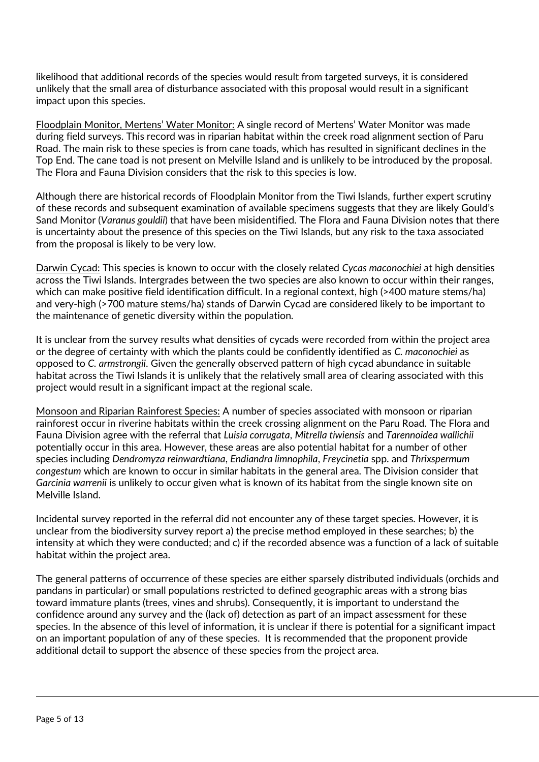likelihood that additional records of the species would result from targeted surveys, it is considered unlikely that the small area of disturbance associated with this proposal would result in a significant impact upon this species.

Floodplain Monitor, Mertens' Water Monitor: A single record of Mertens' Water Monitor was made during field surveys. This record was in riparian habitat within the creek road alignment section of Paru Road. The main risk to these species is from cane toads, which has resulted in significant declines in the Top End. The cane toad is not present on Melville Island and is unlikely to be introduced by the proposal. The Flora and Fauna Division considers that the risk to this species is low.

Although there are historical records of Floodplain Monitor from the Tiwi Islands, further expert scrutiny of these records and subsequent examination of available specimens suggests that they are likely Gould's Sand Monitor (*Varanus gouldii*) that have been misidentified. The Flora and Fauna Division notes that there is uncertainty about the presence of this species on the Tiwi Islands, but any risk to the taxa associated from the proposal is likely to be very low.

Darwin Cycad: This species is known to occur with the closely related *Cycas maconochiei* at high densities across the Tiwi Islands. Intergrades between the two species are also known to occur within their ranges, which can make positive field identification difficult. In a regional context, high (>400 mature stems/ha) and very-high (>700 mature stems/ha) stands of Darwin Cycad are considered likely to be important to the maintenance of genetic diversity within the population.

It is unclear from the survey results what densities of cycads were recorded from within the project area or the degree of certainty with which the plants could be confidently identified as *C. maconochiei* as opposed to *C. armstrongii*. Given the generally observed pattern of high cycad abundance in suitable habitat across the Tiwi Islands it is unlikely that the relatively small area of clearing associated with this project would result in a significant impact at the regional scale.

Monsoon and Riparian Rainforest Species: A number of species associated with monsoon or riparian rainforest occur in riverine habitats within the creek crossing alignment on the Paru Road. The Flora and Fauna Division agree with the referral that *Luisia corrugata*, *Mitrella tiwiensis* and *Tarennoidea wallichii* potentially occur in this area. However, these areas are also potential habitat for a number of other species including *Dendromyza reinwardtiana*, *Endiandra limnophila*, *Freycinetia* spp. and *Thrixspermum congestum* which are known to occur in similar habitats in the general area. The Division consider that *Garcinia warrenii* is unlikely to occur given what is known of its habitat from the single known site on Melville Island.

Incidental survey reported in the referral did not encounter any of these target species. However, it is unclear from the biodiversity survey report a) the precise method employed in these searches; b) the intensity at which they were conducted; and c) if the recorded absence was a function of a lack of suitable habitat within the project area.

The general patterns of occurrence of these species are either sparsely distributed individuals (orchids and pandans in particular) or small populations restricted to defined geographic areas with a strong bias toward immature plants (trees, vines and shrubs). Consequently, it is important to understand the confidence around any survey and the (lack of) detection as part of an impact assessment for these species. In the absence of this level of information, it is unclear if there is potential for a significant impact on an important population of any of these species. It is recommended that the proponent provide additional detail to support the absence of these species from the project area.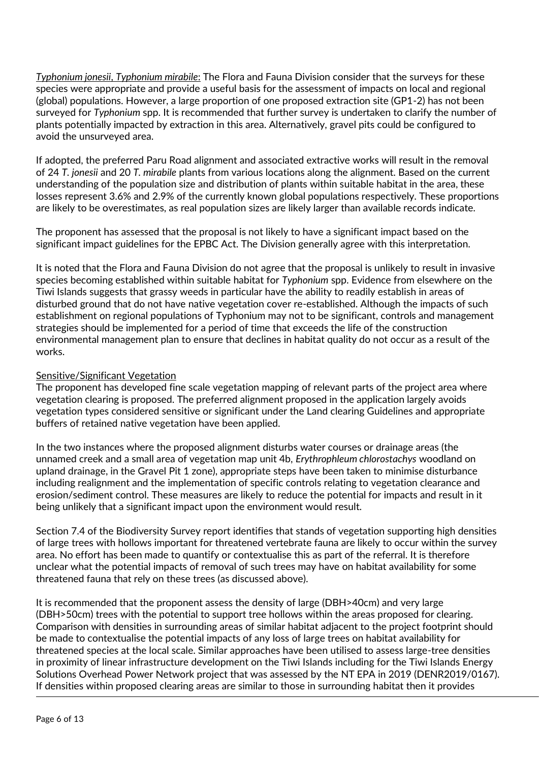*Typhonium jonesii*, *Typhonium mirabile*: The Flora and Fauna Division consider that the surveys for these species were appropriate and provide a useful basis for the assessment of impacts on local and regional (global) populations. However, a large proportion of one proposed extraction site (GP1-2) has not been surveyed for *Typhonium* spp. It is recommended that further survey is undertaken to clarify the number of plants potentially impacted by extraction in this area. Alternatively, gravel pits could be configured to avoid the unsurveyed area.

If adopted, the preferred Paru Road alignment and associated extractive works will result in the removal of 24 *T. jonesii* and 20 *T. mirabile* plants from various locations along the alignment. Based on the current understanding of the population size and distribution of plants within suitable habitat in the area, these losses represent 3.6% and 2.9% of the currently known global populations respectively. These proportions are likely to be overestimates, as real population sizes are likely larger than available records indicate.

The proponent has assessed that the proposal is not likely to have a significant impact based on the significant impact guidelines for the EPBC Act. The Division generally agree with this interpretation.

It is noted that the Flora and Fauna Division do not agree that the proposal is unlikely to result in invasive species becoming established within suitable habitat for *Typhonium* spp. Evidence from elsewhere on the Tiwi Islands suggests that grassy weeds in particular have the ability to readily establish in areas of disturbed ground that do not have native vegetation cover re-established. Although the impacts of such establishment on regional populations of Typhonium may not to be significant, controls and management strategies should be implemented for a period of time that exceeds the life of the construction environmental management plan to ensure that declines in habitat quality do not occur as a result of the works.

## Sensitive/Significant Vegetation

The proponent has developed fine scale vegetation mapping of relevant parts of the project area where vegetation clearing is proposed. The preferred alignment proposed in the application largely avoids vegetation types considered sensitive or significant under the Land clearing Guidelines and appropriate buffers of retained native vegetation have been applied.

In the two instances where the proposed alignment disturbs water courses or drainage areas (the unnamed creek and a small area of vegetation map unit 4b, *Erythrophleum chlorostachys* woodland on upland drainage, in the Gravel Pit 1 zone), appropriate steps have been taken to minimise disturbance including realignment and the implementation of specific controls relating to vegetation clearance and erosion/sediment control. These measures are likely to reduce the potential for impacts and result in it being unlikely that a significant impact upon the environment would result.

Section 7.4 of the Biodiversity Survey report identifies that stands of vegetation supporting high densities of large trees with hollows important for threatened vertebrate fauna are likely to occur within the survey area. No effort has been made to quantify or contextualise this as part of the referral. It is therefore unclear what the potential impacts of removal of such trees may have on habitat availability for some threatened fauna that rely on these trees (as discussed above).

It is recommended that the proponent assess the density of large (DBH>40cm) and very large (DBH>50cm) trees with the potential to support tree hollows within the areas proposed for clearing. Comparison with densities in surrounding areas of similar habitat adjacent to the project footprint should be made to contextualise the potential impacts of any loss of large trees on habitat availability for threatened species at the local scale. Similar approaches have been utilised to assess large-tree densities in proximity of linear infrastructure development on the Tiwi Islands including for the Tiwi Islands Energy Solutions Overhead Power Network project that was assessed by the NT EPA in 2019 (DENR2019/0167). If densities within proposed clearing areas are similar to those in surrounding habitat then it provides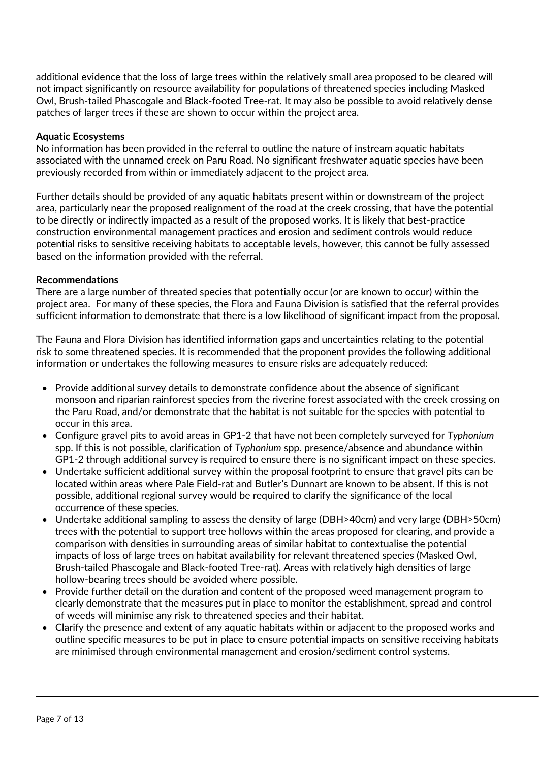additional evidence that the loss of large trees within the relatively small area proposed to be cleared will not impact significantly on resource availability for populations of threatened species including Masked Owl, Brush-tailed Phascogale and Black-footed Tree-rat. It may also be possible to avoid relatively dense patches of larger trees if these are shown to occur within the project area.

## **Aquatic Ecosystems**

No information has been provided in the referral to outline the nature of instream aquatic habitats associated with the unnamed creek on Paru Road. No significant freshwater aquatic species have been previously recorded from within or immediately adjacent to the project area.

Further details should be provided of any aquatic habitats present within or downstream of the project area, particularly near the proposed realignment of the road at the creek crossing, that have the potential to be directly or indirectly impacted as a result of the proposed works. It is likely that best-practice construction environmental management practices and erosion and sediment controls would reduce potential risks to sensitive receiving habitats to acceptable levels, however, this cannot be fully assessed based on the information provided with the referral.

## **Recommendations**

There are a large number of threated species that potentially occur (or are known to occur) within the project area. For many of these species, the Flora and Fauna Division is satisfied that the referral provides sufficient information to demonstrate that there is a low likelihood of significant impact from the proposal.

The Fauna and Flora Division has identified information gaps and uncertainties relating to the potential risk to some threatened species. It is recommended that the proponent provides the following additional information or undertakes the following measures to ensure risks are adequately reduced:

- Provide additional survey details to demonstrate confidence about the absence of significant monsoon and riparian rainforest species from the riverine forest associated with the creek crossing on the Paru Road, and/or demonstrate that the habitat is not suitable for the species with potential to occur in this area.
- Configure gravel pits to avoid areas in GP1-2 that have not been completely surveyed for *Typhonium* spp. If this is not possible, clarification of *Typhonium* spp. presence/absence and abundance within GP1-2 through additional survey is required to ensure there is no significant impact on these species.
- Undertake sufficient additional survey within the proposal footprint to ensure that gravel pits can be located within areas where Pale Field-rat and Butler's Dunnart are known to be absent. If this is not possible, additional regional survey would be required to clarify the significance of the local occurrence of these species.
- Undertake additional sampling to assess the density of large (DBH>40cm) and very large (DBH>50cm) trees with the potential to support tree hollows within the areas proposed for clearing, and provide a comparison with densities in surrounding areas of similar habitat to contextualise the potential impacts of loss of large trees on habitat availability for relevant threatened species (Masked Owl, Brush-tailed Phascogale and Black-footed Tree-rat). Areas with relatively high densities of large hollow-bearing trees should be avoided where possible.
- Provide further detail on the duration and content of the proposed weed management program to clearly demonstrate that the measures put in place to monitor the establishment, spread and control of weeds will minimise any risk to threatened species and their habitat.
- Clarify the presence and extent of any aquatic habitats within or adjacent to the proposed works and outline specific measures to be put in place to ensure potential impacts on sensitive receiving habitats are minimised through environmental management and erosion/sediment control systems.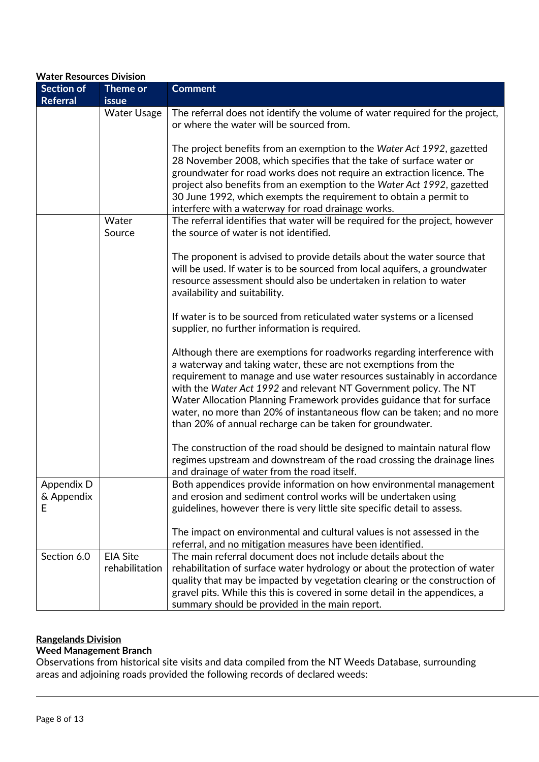| <b>Water Resources Division</b>      |                                   |                                                                                                                                                                                                                                                                                                                                                                                                                                                                                                             |  |
|--------------------------------------|-----------------------------------|-------------------------------------------------------------------------------------------------------------------------------------------------------------------------------------------------------------------------------------------------------------------------------------------------------------------------------------------------------------------------------------------------------------------------------------------------------------------------------------------------------------|--|
| <b>Section of</b><br><b>Referral</b> | Theme or<br><b>issue</b>          | <b>Comment</b>                                                                                                                                                                                                                                                                                                                                                                                                                                                                                              |  |
|                                      | <b>Water Usage</b>                | The referral does not identify the volume of water required for the project,<br>or where the water will be sourced from.                                                                                                                                                                                                                                                                                                                                                                                    |  |
|                                      |                                   | The project benefits from an exemption to the Water Act 1992, gazetted<br>28 November 2008, which specifies that the take of surface water or<br>groundwater for road works does not require an extraction licence. The<br>project also benefits from an exemption to the Water Act 1992, gazetted<br>30 June 1992, which exempts the requirement to obtain a permit to<br>interfere with a waterway for road drainage works.                                                                               |  |
|                                      | Water<br>Source                   | The referral identifies that water will be required for the project, however<br>the source of water is not identified.                                                                                                                                                                                                                                                                                                                                                                                      |  |
|                                      |                                   | The proponent is advised to provide details about the water source that<br>will be used. If water is to be sourced from local aquifers, a groundwater<br>resource assessment should also be undertaken in relation to water<br>availability and suitability.                                                                                                                                                                                                                                                |  |
|                                      |                                   | If water is to be sourced from reticulated water systems or a licensed<br>supplier, no further information is required.                                                                                                                                                                                                                                                                                                                                                                                     |  |
|                                      |                                   | Although there are exemptions for roadworks regarding interference with<br>a waterway and taking water, these are not exemptions from the<br>requirement to manage and use water resources sustainably in accordance<br>with the Water Act 1992 and relevant NT Government policy. The NT<br>Water Allocation Planning Framework provides guidance that for surface<br>water, no more than 20% of instantaneous flow can be taken; and no more<br>than 20% of annual recharge can be taken for groundwater. |  |
|                                      |                                   | The construction of the road should be designed to maintain natural flow<br>regimes upstream and downstream of the road crossing the drainage lines<br>and drainage of water from the road itself.                                                                                                                                                                                                                                                                                                          |  |
| Appendix D<br>& Appendix<br>E        |                                   | Both appendices provide information on how environmental management<br>and erosion and sediment control works will be undertaken using<br>guidelines, however there is very little site specific detail to assess.                                                                                                                                                                                                                                                                                          |  |
|                                      |                                   | The impact on environmental and cultural values is not assessed in the<br>referral, and no mitigation measures have been identified.                                                                                                                                                                                                                                                                                                                                                                        |  |
| Section 6.0                          | <b>EIA Site</b><br>rehabilitation | The main referral document does not include details about the<br>rehabilitation of surface water hydrology or about the protection of water<br>quality that may be impacted by vegetation clearing or the construction of<br>gravel pits. While this this is covered in some detail in the appendices, a<br>summary should be provided in the main report.                                                                                                                                                  |  |

# **Rangelands Division**

# **Weed Management Branch**

Observations from historical site visits and data compiled from the NT Weeds Database, surrounding areas and adjoining roads provided the following records of declared weeds: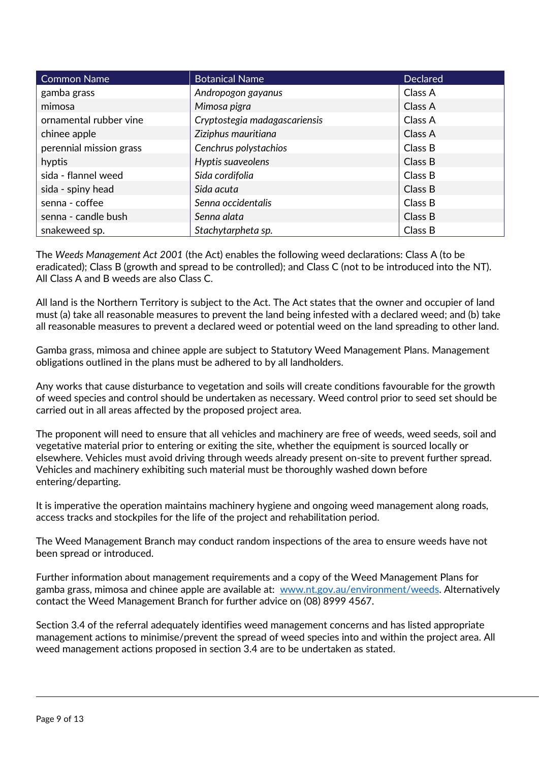| Common Name             | <b>Botanical Name</b>         | <b>Declared</b> |
|-------------------------|-------------------------------|-----------------|
| gamba grass             | Andropogon gayanus            | Class A         |
| mimosa                  | Mimosa pigra                  | Class A         |
| ornamental rubber vine  | Cryptostegia madagascariensis | Class A         |
| chinee apple            | Ziziphus mauritiana           | Class A         |
| perennial mission grass | Cenchrus polystachios         | Class B         |
| hyptis                  | Hyptis suaveolens             | Class B         |
| sida - flannel weed     | Sida cordifolia               | Class B         |
| sida - spiny head       | Sida acuta                    | Class B         |
| senna - coffee          | Senna occidentalis            | Class B         |
| senna - candle bush     | Senna alata                   | Class B         |
| snakeweed sp.           | Stachytarpheta sp.            | Class B         |

The *Weeds Management Act 2001* (the Act) enables the following weed declarations: Class A (to be eradicated); Class B (growth and spread to be controlled); and Class C (not to be introduced into the NT). All Class A and B weeds are also Class C.

All land is the Northern Territory is subject to the Act. The Act states that the owner and occupier of land must (a) take all reasonable measures to prevent the land being infested with a declared weed; and (b) take all reasonable measures to prevent a declared weed or potential weed on the land spreading to other land.

Gamba grass, mimosa and chinee apple are subject to Statutory Weed Management Plans. Management obligations outlined in the plans must be adhered to by all landholders.

Any works that cause disturbance to vegetation and soils will create conditions favourable for the growth of weed species and control should be undertaken as necessary. Weed control prior to seed set should be carried out in all areas affected by the proposed project area.

The proponent will need to ensure that all vehicles and machinery are free of weeds, weed seeds, soil and vegetative material prior to entering or exiting the site, whether the equipment is sourced locally or elsewhere. Vehicles must avoid driving through weeds already present on-site to prevent further spread. Vehicles and machinery exhibiting such material must be thoroughly washed down before entering/departing.

It is imperative the operation maintains machinery hygiene and ongoing weed management along roads, access tracks and stockpiles for the life of the project and rehabilitation period.

The Weed Management Branch may conduct random inspections of the area to ensure weeds have not been spread or introduced.

Further information about management requirements and a copy of the Weed Management Plans for gamba grass, mimosa and chinee apple are available at: [www.nt.gov.au/environment/weeds.](http://www.nt.gov.au/environment/weeds) Alternatively contact the Weed Management Branch for further advice on (08) 8999 4567.

Section 3.4 of the referral adequately identifies weed management concerns and has listed appropriate management actions to minimise/prevent the spread of weed species into and within the project area. All weed management actions proposed in section 3.4 are to be undertaken as stated.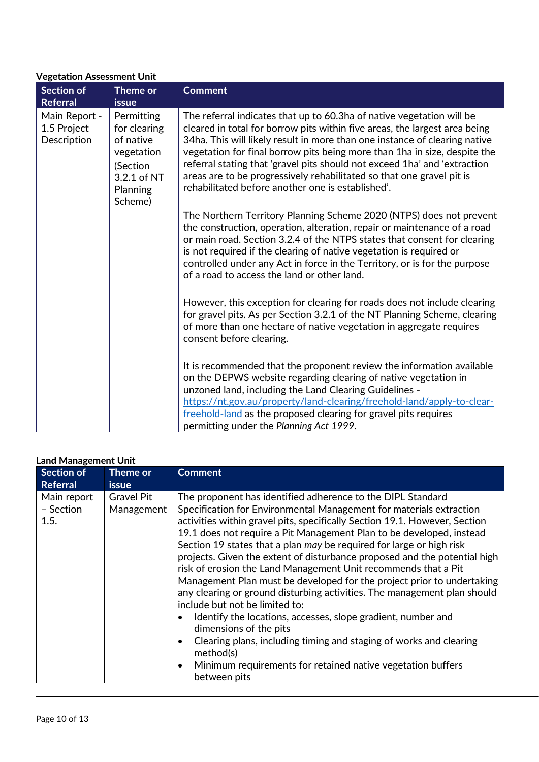# **Vegetation Assessment Unit**

| <b>Section of</b><br><b>Referral</b>        | Theme or<br><b>issue</b>                                                                                | <b>Comment</b>                                                                                                                                                                                                                                                                                                                                                                                                                                                                                                             |
|---------------------------------------------|---------------------------------------------------------------------------------------------------------|----------------------------------------------------------------------------------------------------------------------------------------------------------------------------------------------------------------------------------------------------------------------------------------------------------------------------------------------------------------------------------------------------------------------------------------------------------------------------------------------------------------------------|
| Main Report -<br>1.5 Project<br>Description | Permitting<br>for clearing<br>of native<br>vegetation<br>(Section<br>3.2.1 of NT<br>Planning<br>Scheme) | The referral indicates that up to 60.3ha of native vegetation will be<br>cleared in total for borrow pits within five areas, the largest area being<br>34ha. This will likely result in more than one instance of clearing native<br>vegetation for final borrow pits being more than 1 ha in size, despite the<br>referral stating that 'gravel pits should not exceed 1ha' and 'extraction<br>areas are to be progressively rehabilitated so that one gravel pit is<br>rehabilitated before another one is established'. |
|                                             |                                                                                                         | The Northern Territory Planning Scheme 2020 (NTPS) does not prevent<br>the construction, operation, alteration, repair or maintenance of a road<br>or main road. Section 3.2.4 of the NTPS states that consent for clearing<br>is not required if the clearing of native vegetation is required or<br>controlled under any Act in force in the Territory, or is for the purpose<br>of a road to access the land or other land.                                                                                             |
|                                             |                                                                                                         | However, this exception for clearing for roads does not include clearing<br>for gravel pits. As per Section 3.2.1 of the NT Planning Scheme, clearing<br>of more than one hectare of native vegetation in aggregate requires<br>consent before clearing.                                                                                                                                                                                                                                                                   |
|                                             |                                                                                                         | It is recommended that the proponent review the information available<br>on the DEPWS website regarding clearing of native vegetation in<br>unzoned land, including the Land Clearing Guidelines -<br>https://nt.gov.au/property/land-clearing/freehold-land/apply-to-clear-<br>freehold-land as the proposed clearing for gravel pits requires<br>permitting under the Planning Act 1999.                                                                                                                                 |

|  | <b>Land Management Unit</b> |  |
|--|-----------------------------|--|
|--|-----------------------------|--|

| <b>Section of</b><br><b>Referral</b> | Theme or<br><b>issue</b>        | <b>Comment</b>                                                                                                                                                                                                                                                                                                                                                                                                                                                                                                                                                                                                                                                                                                                                                                                                                                                                                                                                                      |
|--------------------------------------|---------------------------------|---------------------------------------------------------------------------------------------------------------------------------------------------------------------------------------------------------------------------------------------------------------------------------------------------------------------------------------------------------------------------------------------------------------------------------------------------------------------------------------------------------------------------------------------------------------------------------------------------------------------------------------------------------------------------------------------------------------------------------------------------------------------------------------------------------------------------------------------------------------------------------------------------------------------------------------------------------------------|
| Main report<br>- Section<br>1.5.     | <b>Gravel Pit</b><br>Management | The proponent has identified adherence to the DIPL Standard<br>Specification for Environmental Management for materials extraction<br>activities within gravel pits, specifically Section 19.1. However, Section<br>19.1 does not require a Pit Management Plan to be developed, instead<br>Section 19 states that a plan may be required for large or high risk<br>projects. Given the extent of disturbance proposed and the potential high<br>risk of erosion the Land Management Unit recommends that a Pit<br>Management Plan must be developed for the project prior to undertaking<br>any clearing or ground disturbing activities. The management plan should<br>include but not be limited to:<br>Identify the locations, accesses, slope gradient, number and<br>dimensions of the pits<br>Clearing plans, including timing and staging of works and clearing<br>method(s)<br>Minimum requirements for retained native vegetation buffers<br>between pits |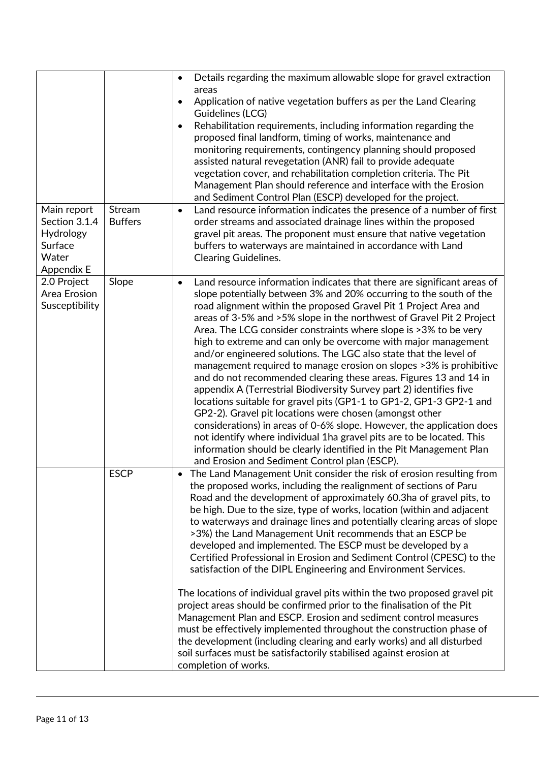|                                                                             |                          | Details regarding the maximum allowable slope for gravel extraction<br>$\bullet$<br>areas<br>Application of native vegetation buffers as per the Land Clearing<br>٠<br>Guidelines (LCG)<br>Rehabilitation requirements, including information regarding the<br>$\bullet$<br>proposed final landform, timing of works, maintenance and<br>monitoring requirements, contingency planning should proposed<br>assisted natural revegetation (ANR) fail to provide adequate<br>vegetation cover, and rehabilitation completion criteria. The Pit                                                                                                                                                                                                                                                                                                                                                                                                                                                                                                                                                                                                      |
|-----------------------------------------------------------------------------|--------------------------|--------------------------------------------------------------------------------------------------------------------------------------------------------------------------------------------------------------------------------------------------------------------------------------------------------------------------------------------------------------------------------------------------------------------------------------------------------------------------------------------------------------------------------------------------------------------------------------------------------------------------------------------------------------------------------------------------------------------------------------------------------------------------------------------------------------------------------------------------------------------------------------------------------------------------------------------------------------------------------------------------------------------------------------------------------------------------------------------------------------------------------------------------|
|                                                                             |                          | Management Plan should reference and interface with the Erosion<br>and Sediment Control Plan (ESCP) developed for the project.                                                                                                                                                                                                                                                                                                                                                                                                                                                                                                                                                                                                                                                                                                                                                                                                                                                                                                                                                                                                                   |
| Main report<br>Section 3.1.4<br>Hydrology<br>Surface<br>Water<br>Appendix E | Stream<br><b>Buffers</b> | Land resource information indicates the presence of a number of first<br>$\bullet$<br>order streams and associated drainage lines within the proposed<br>gravel pit areas. The proponent must ensure that native vegetation<br>buffers to waterways are maintained in accordance with Land<br><b>Clearing Guidelines.</b>                                                                                                                                                                                                                                                                                                                                                                                                                                                                                                                                                                                                                                                                                                                                                                                                                        |
| 2.0 Project<br>Area Erosion<br>Susceptibility                               | Slope                    | Land resource information indicates that there are significant areas of<br>$\bullet$<br>slope potentially between 3% and 20% occurring to the south of the<br>road alignment within the proposed Gravel Pit 1 Project Area and<br>areas of 3-5% and >5% slope in the northwest of Gravel Pit 2 Project<br>Area. The LCG consider constraints where slope is >3% to be very<br>high to extreme and can only be overcome with major management<br>and/or engineered solutions. The LGC also state that the level of<br>management required to manage erosion on slopes > 3% is prohibitive<br>and do not recommended clearing these areas. Figures 13 and 14 in<br>appendix A (Terrestrial Biodiversity Survey part 2) identifies five<br>locations suitable for gravel pits (GP1-1 to GP1-2, GP1-3 GP2-1 and<br>GP2-2). Gravel pit locations were chosen (amongst other<br>considerations) in areas of 0-6% slope. However, the application does<br>not identify where individual 1ha gravel pits are to be located. This<br>information should be clearly identified in the Pit Management Plan<br>and Erosion and Sediment Control plan (ESCP). |
|                                                                             | <b>ESCP</b>              | • The Land Management Unit consider the risk of erosion resulting from<br>the proposed works, including the realignment of sections of Paru<br>Road and the development of approximately 60.3ha of gravel pits, to<br>be high. Due to the size, type of works, location (within and adjacent<br>to waterways and drainage lines and potentially clearing areas of slope<br>>3%) the Land Management Unit recommends that an ESCP be<br>developed and implemented. The ESCP must be developed by a<br>Certified Professional in Erosion and Sediment Control (CPESC) to the<br>satisfaction of the DIPL Engineering and Environment Services.<br>The locations of individual gravel pits within the two proposed gravel pit<br>project areas should be confirmed prior to the finalisation of the Pit<br>Management Plan and ESCP. Erosion and sediment control measures<br>must be effectively implemented throughout the construction phase of<br>the development (including clearing and early works) and all disturbed<br>soil surfaces must be satisfactorily stabilised against erosion at<br>completion of works.                          |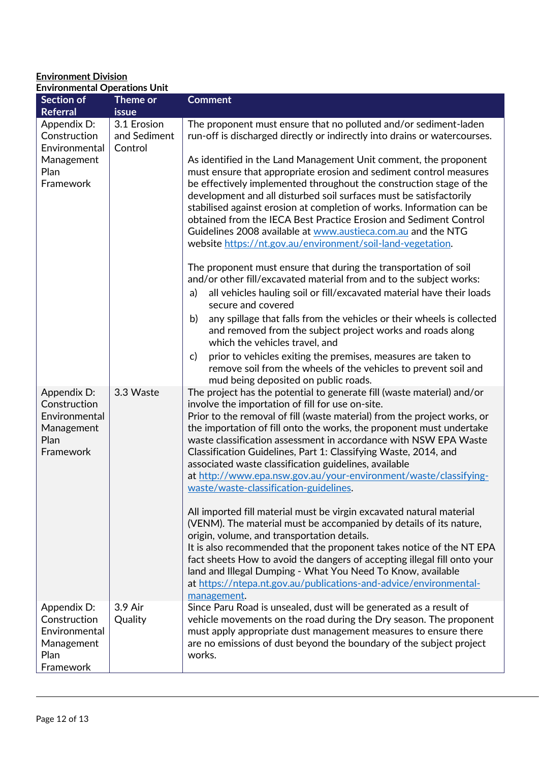#### **Environment Division Environmental Operations Unit**

| <b>Section of</b><br><b>Referral</b>                                            | Theme or<br><b>issue</b>               | <b>Comment</b>                                                                                                                                                                                                                                                                                                                                                                                                                                                                                                                                                                                                                                                                                                                                                                                                                                                                                                                                                                                                                                                                                                                                                                                                                                                                                                                                |
|---------------------------------------------------------------------------------|----------------------------------------|-----------------------------------------------------------------------------------------------------------------------------------------------------------------------------------------------------------------------------------------------------------------------------------------------------------------------------------------------------------------------------------------------------------------------------------------------------------------------------------------------------------------------------------------------------------------------------------------------------------------------------------------------------------------------------------------------------------------------------------------------------------------------------------------------------------------------------------------------------------------------------------------------------------------------------------------------------------------------------------------------------------------------------------------------------------------------------------------------------------------------------------------------------------------------------------------------------------------------------------------------------------------------------------------------------------------------------------------------|
| Appendix D:<br>Construction<br>Environmental<br>Management<br>Plan<br>Framework | 3.1 Erosion<br>and Sediment<br>Control | The proponent must ensure that no polluted and/or sediment-laden<br>run-off is discharged directly or indirectly into drains or watercourses.<br>As identified in the Land Management Unit comment, the proponent<br>must ensure that appropriate erosion and sediment control measures<br>be effectively implemented throughout the construction stage of the<br>development and all disturbed soil surfaces must be satisfactorily<br>stabilised against erosion at completion of works. Information can be<br>obtained from the IECA Best Practice Erosion and Sediment Control<br>Guidelines 2008 available at www.austieca.com.au and the NTG<br>website https://nt.gov.au/environment/soil-land-vegetation.<br>The proponent must ensure that during the transportation of soil<br>and/or other fill/excavated material from and to the subject works:<br>all vehicles hauling soil or fill/excavated material have their loads<br>a)<br>secure and covered<br>any spillage that falls from the vehicles or their wheels is collected<br>b)<br>and removed from the subject project works and roads along<br>which the vehicles travel, and<br>prior to vehicles exiting the premises, measures are taken to<br>$\mathsf{C}$<br>remove soil from the wheels of the vehicles to prevent soil and<br>mud being deposited on public roads. |
| Appendix D:<br>Construction<br>Environmental<br>Management<br>Plan<br>Framework | 3.3 Waste                              | The project has the potential to generate fill (waste material) and/or<br>involve the importation of fill for use on-site.<br>Prior to the removal of fill (waste material) from the project works, or<br>the importation of fill onto the works, the proponent must undertake<br>waste classification assessment in accordance with NSW EPA Waste<br>Classification Guidelines, Part 1: Classifying Waste, 2014, and<br>associated waste classification guidelines, available<br>at http://www.epa.nsw.gov.au/your-environment/waste/classifying-<br>waste/waste-classification-guidelines.<br>All imported fill material must be virgin excavated natural material<br>(VENM). The material must be accompanied by details of its nature,<br>origin, volume, and transportation details.<br>It is also recommended that the proponent takes notice of the NT EPA<br>fact sheets How to avoid the dangers of accepting illegal fill onto your<br>land and Illegal Dumping - What You Need To Know, available<br>at https://ntepa.nt.gov.au/publications-and-advice/environmental-<br>management.                                                                                                                                                                                                                                              |
| Appendix D:<br>Construction<br>Environmental<br>Management<br>Plan<br>Framework | 3.9 Air<br>Quality                     | Since Paru Road is unsealed, dust will be generated as a result of<br>vehicle movements on the road during the Dry season. The proponent<br>must apply appropriate dust management measures to ensure there<br>are no emissions of dust beyond the boundary of the subject project<br>works.                                                                                                                                                                                                                                                                                                                                                                                                                                                                                                                                                                                                                                                                                                                                                                                                                                                                                                                                                                                                                                                  |